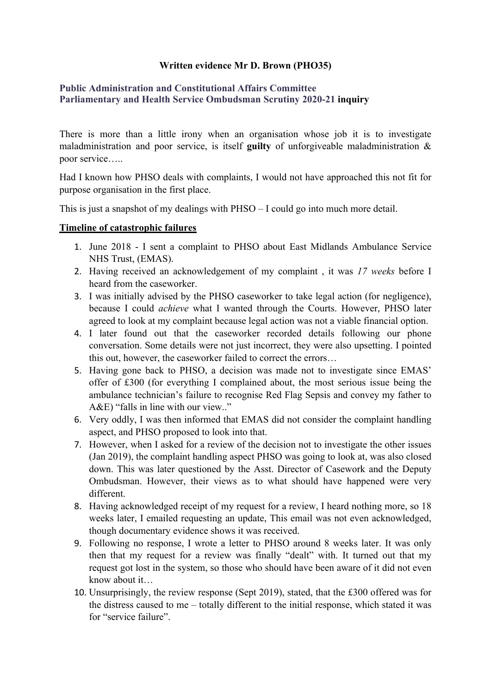## **Written evidence Mr D. Brown (PHO35)**

## **[Public](https://admin.committees.parliament.uk/Committee/Edit/327) [Administration](https://admin.committees.parliament.uk/Committee/Edit/327) [and](https://admin.committees.parliament.uk/Committee/Edit/327) [Constitutional](https://admin.committees.parliament.uk/Committee/Edit/327) [Affairs](https://admin.committees.parliament.uk/Committee/Edit/327) [Committee](https://admin.committees.parliament.uk/Committee/Edit/327) [Parliamentary](https://admin.committees.parliament.uk/Committee/327/CommitteeBusiness/Edit/1503) [and](https://admin.committees.parliament.uk/Committee/327/CommitteeBusiness/Edit/1503) [Health](https://admin.committees.parliament.uk/Committee/327/CommitteeBusiness/Edit/1503) [Service](https://admin.committees.parliament.uk/Committee/327/CommitteeBusiness/Edit/1503) [Ombudsman](https://admin.committees.parliament.uk/Committee/327/CommitteeBusiness/Edit/1503) [Scrutiny](https://admin.committees.parliament.uk/Committee/327/CommitteeBusiness/Edit/1503) [2020-21](https://admin.committees.parliament.uk/Committee/327/CommitteeBusiness/Edit/1503) inquiry**

There is more than a little irony when an organisation whose job it is to investigate maladministration and poor service, is itself **guilty** of unforgiveable maladministration & poor service…..

Had I known how PHSO deals with complaints, I would not have approached this not fit for purpose organisation in the first place.

This is just a snapshot of my dealings with PHSO – I could go into much more detail.

## **Timeline of catastrophic failures**

- 1. June 2018 I sent a complaint to PHSO about East Midlands Ambulance Service NHS Trust, (EMAS).
- 2. Having received an acknowledgement of my complaint , it was *17 weeks* before I heard from the caseworker.
- 3. I was initially advised by the PHSO caseworker to take legal action (for negligence), because I could *achieve* what I wanted through the Courts. However, PHSO later agreed to look at my complaint because legal action was not a viable financial option.
- 4. I later found out that the caseworker recorded details following our phone conversation. Some details were not just incorrect, they were also upsetting. I pointed this out, however, the caseworker failed to correct the errors…
- 5. Having gone back to PHSO, a decision was made not to investigate since EMAS' offer of £300 (for everything I complained about, the most serious issue being the ambulance technician's failure to recognise Red Flag Sepsis and convey my father to A&E) "falls in line with our view.."
- 6. Very oddly, I was then informed that EMAS did not consider the complaint handling aspect, and PHSO proposed to look into that.
- 7. However, when I asked for a review of the decision not to investigate the other issues (Jan 2019), the complaint handling aspect PHSO was going to look at, was also closed down. This was later questioned by the Asst. Director of Casework and the Deputy Ombudsman. However, their views as to what should have happened were very different.
- 8. Having acknowledged receipt of my request for a review, I heard nothing more, so 18 weeks later, I emailed requesting an update, This email was not even acknowledged, though documentary evidence shows it was received.
- 9. Following no response, I wrote a letter to PHSO around 8 weeks later. It was only then that my request for a review was finally "dealt" with. It turned out that my request got lost in the system, so those who should have been aware of it did not even know about it…
- 10. Unsurprisingly, the review response (Sept 2019), stated, that the £300 offered was for the distress caused to me – totally different to the initial response, which stated it was for "service failure".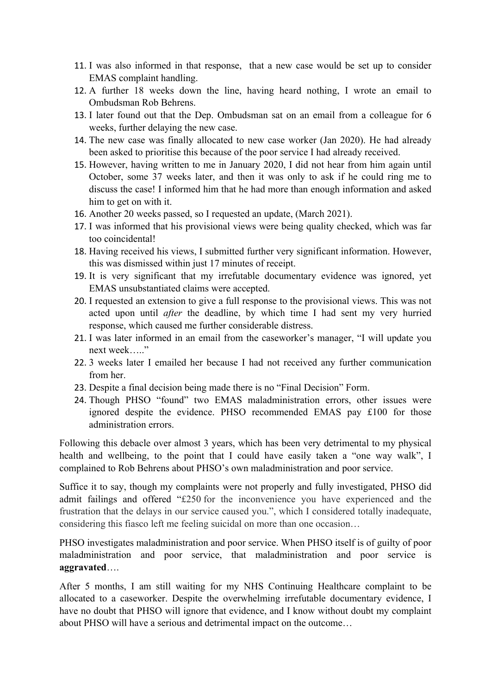- 11. I was also informed in that response, that a new case would be set up to consider EMAS complaint handling.
- 12. A further 18 weeks down the line, having heard nothing, I wrote an email to Ombudsman Rob Behrens.
- 13. I later found out that the Dep. Ombudsman sat on an email from a colleague for 6 weeks, further delaying the new case.
- 14. The new case was finally allocated to new case worker (Jan 2020). He had already been asked to prioritise this because of the poor service I had already received.
- 15. However, having written to me in January 2020, I did not hear from him again until October, some 37 weeks later, and then it was only to ask if he could ring me to discuss the case! I informed him that he had more than enough information and asked him to get on with it.
- 16. Another 20 weeks passed, so I requested an update, (March 2021).
- 17. I was informed that his provisional views were being quality checked, which was far too coincidental!
- 18. Having received his views, I submitted further very significant information. However, this was dismissed within just 17 minutes of receipt.
- 19. It is very significant that my irrefutable documentary evidence was ignored, yet EMAS unsubstantiated claims were accepted.
- 20. I requested an extension to give a full response to the provisional views. This was not acted upon until *after* the deadline, by which time I had sent my very hurried response, which caused me further considerable distress.
- 21. I was later informed in an email from the caseworker's manager, "I will update you next week<sup>….</sup>
- 22. 3 weeks later I emailed her because I had not received any further communication from her.
- 23. Despite a final decision being made there is no "Final Decision" Form.
- 24. Though PHSO "found" two EMAS maladministration errors, other issues were ignored despite the evidence. PHSO recommended EMAS pay £100 for those administration errors.

Following this debacle over almost 3 years, which has been very detrimental to my physical health and wellbeing, to the point that I could have easily taken a "one way walk", I complained to Rob Behrens about PHSO's own maladministration and poor service.

Suffice it to say, though my complaints were not properly and fully investigated, PHSO did admit failings and offered "£250 for the inconvenience you have experienced and the frustration that the delays in our service caused you.", which I considered totally inadequate, considering this fiasco left me feeling suicidal on more than one occasion…

PHSO investigates maladministration and poor service. When PHSO itself is of guilty of poor maladministration and poor service, that maladministration and poor service is **aggravated**….

After 5 months, I am still waiting for my NHS Continuing Healthcare complaint to be allocated to a caseworker. Despite the overwhelming irrefutable documentary evidence, I have no doubt that PHSO will ignore that evidence, and I know without doubt my complaint about PHSO will have a serious and detrimental impact on the outcome…